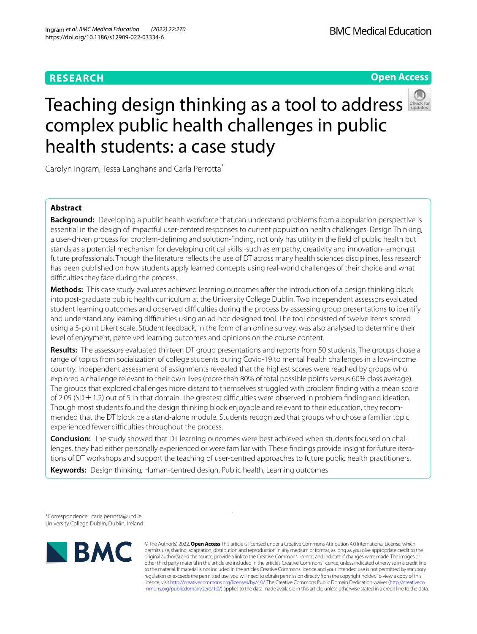## **RESEARCH**

## **Open Access**



# Teachingdesign thinking as a tool to address complex public health challenges in public health students: a case study

Carolyn Ingram, Tessa Langhans and Carla Perrotta\*

## **Abstract**

**Background:** Developing a public health workforce that can understand problems from a population perspective is essential in the design of impactful user-centred responses to current population health challenges. Design Thinking, a user-driven process for problem-defning and solution-fnding, not only has utility in the feld of public health but stands as a potential mechanism for developing critical skills -such as empathy, creativity and innovation- amongst future professionals. Though the literature refects the use of DT across many health sciences disciplines, less research has been published on how students apply learned concepts using real-world challenges of their choice and what difficulties they face during the process.

**Methods:** This case study evaluates achieved learning outcomes after the introduction of a design thinking block into post-graduate public health curriculum at the University College Dublin. Two independent assessors evaluated student learning outcomes and observed difficulties during the process by assessing group presentations to identify and understand any learning difculties using an ad-hoc designed tool. The tool consisted of twelve items scored using a 5-point Likert scale. Student feedback, in the form of an online survey, was also analysed to determine their level of enjoyment, perceived learning outcomes and opinions on the course content.

**Results:** The assessors evaluated thirteen DT group presentations and reports from 50 students. The groups chose a range of topics from socialization of college students during Covid-19 to mental health challenges in a low-income country. Independent assessment of assignments revealed that the highest scores were reached by groups who explored a challenge relevant to their own lives (more than 80% of total possible points versus 60% class average). The groups that explored challenges more distant to themselves struggled with problem fnding with a mean score of 2.05 (SD $\pm$ 1.2) out of 5 in that domain. The greatest difficulties were observed in problem finding and ideation. Though most students found the design thinking block enjoyable and relevant to their education, they recommended that the DT block be a stand-alone module. Students recognized that groups who chose a familiar topic experienced fewer difficulties throughout the process.

**Conclusion:** The study showed that DT learning outcomes were best achieved when students focused on challenges, they had either personally experienced or were familiar with. These fndings provide insight for future iterations of DT workshops and support the teaching of user-centred approaches to future public health practitioners.

**Keywords:** Design thinking, Human-centred design, Public health, Learning outcomes

\*Correspondence: carla.perrotta@ucd.ie University College Dublin, Dublin, Ireland



© The Author(s) 2022. **Open Access** This article is licensed under a Creative Commons Attribution 4.0 International License, which permits use, sharing, adaptation, distribution and reproduction in any medium or format, as long as you give appropriate credit to the original author(s) and the source, provide a link to the Creative Commons licence, and indicate if changes were made. The images or other third party material in this article are included in the article's Creative Commons licence, unless indicated otherwise in a credit line to the material. If material is not included in the article's Creative Commons licence and your intended use is not permitted by statutory regulation or exceeds the permitted use, you will need to obtain permission directly from the copyright holder. To view a copy of this licence, visit [http://creativecommons.org/licenses/by/4.0/.](http://creativecommons.org/licenses/by/4.0/) The Creative Commons Public Domain Dedication waiver ([http://creativeco](http://creativecommons.org/publicdomain/zero/1.0/) [mmons.org/publicdomain/zero/1.0/](http://creativecommons.org/publicdomain/zero/1.0/)) applies to the data made available in this article, unless otherwise stated in a credit line to the data.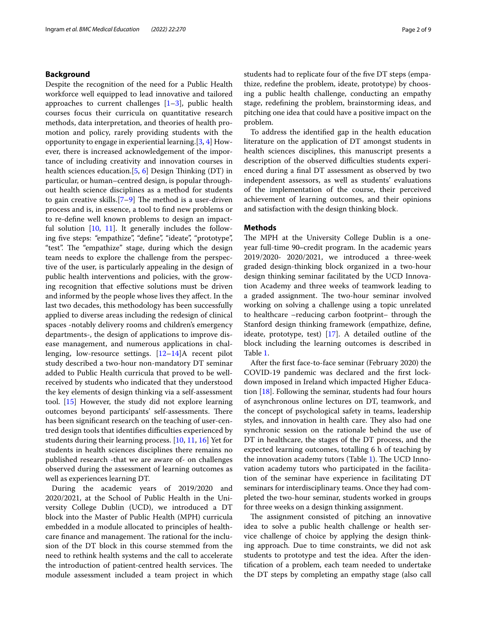#### **Background**

Despite the recognition of the need for a Public Health workforce well equipped to lead innovative and tailored approaches to current challenges  $[1-3]$  $[1-3]$ , public health courses focus their curricula on quantitative research methods, data interpretation, and theories of health promotion and policy, rarely providing students with the opportunity to engage in experiential learning.[\[3,](#page-8-1) [4](#page-8-2)] However, there is increased acknowledgement of the importance of including creativity and innovation courses in health sciences education.[\[5](#page-8-3), [6](#page-8-4)] Design Thinking (DT) in particular, or human–centred design, is popular throughout health science disciplines as a method for students to gain creative skills. $[7-9]$  $[7-9]$  The method is a user-driven process and is, in essence, a tool to fnd new problems or to re-defne well known problems to design an impactful solution [\[10](#page-8-7), [11](#page-8-8)]. It generally includes the following five steps: "empathize", "define", "ideate", "prototype", "test". The "empathize" stage, during which the design team needs to explore the challenge from the perspective of the user, is particularly appealing in the design of public health interventions and policies, with the growing recognition that efective solutions must be driven and informed by the people whose lives they afect. In the last two decades, this methodology has been successfully applied to diverse areas including the redesign of clinical spaces -notably delivery rooms and children's emergency departments-, the design of applications to improve disease management, and numerous applications in challenging, low-resource settings. [\[12–](#page-8-9)[14\]](#page-8-10)A recent pilot study described a two-hour non-mandatory DT seminar added to Public Health curricula that proved to be wellreceived by students who indicated that they understood the key elements of design thinking via a self-assessment tool. [[15](#page-8-11)] However, the study did not explore learning outcomes beyond participants' self-assessments. There has been signifcant research on the teaching of user-centred design tools that identifies difficulties experienced by students during their learning process. [\[10](#page-8-7), [11,](#page-8-8) [16\]](#page-8-12) Yet for students in health sciences disciplines there remains no published research -that we are aware of- on challenges observed during the assessment of learning outcomes as well as experiences learning DT.

During the academic years of 2019/2020 and 2020/2021, at the School of Public Health in the University College Dublin (UCD), we introduced a DT block into the Master of Public Health (MPH) curricula embedded in a module allocated to principles of healthcare finance and management. The rational for the inclusion of the DT block in this course stemmed from the need to rethink health systems and the call to accelerate the introduction of patient-centred health services. The module assessment included a team project in which students had to replicate four of the fve DT steps (empathize, redefne the problem, ideate, prototype) by choosing a public health challenge, conducting an empathy stage, redefning the problem, brainstorming ideas, and pitching one idea that could have a positive impact on the problem.

To address the identifed gap in the health education literature on the application of DT amongst students in health sciences disciplines, this manuscript presents a description of the observed difficulties students experienced during a fnal DT assessment as observed by two independent assessors, as well as students' evaluations of the implementation of the course, their perceived achievement of learning outcomes, and their opinions and satisfaction with the design thinking block.

#### **Methods**

The MPH at the University College Dublin is a oneyear full-time 90–credit program. In the academic years 2019/2020- 2020/2021, we introduced a three-week graded design-thinking block organized in a two-hour design thinking seminar facilitated by the UCD Innovation Academy and three weeks of teamwork leading to a graded assignment. The two-hour seminar involved working on solving a challenge using a topic unrelated to healthcare –reducing carbon footprint– through the Stanford design thinking framework (empathize, defne, ideate, prototype, test) [[17](#page-8-13)]. A detailed outline of the block including the learning outcomes is described in Table [1](#page-2-0).

After the frst face-to-face seminar (February 2020) the COVID-19 pandemic was declared and the frst lockdown imposed in Ireland which impacted Higher Education [\[18\]](#page-8-14). Following the seminar, students had four hours of asynchronous online lectures on DT, teamwork, and the concept of psychological safety in teams, leadership styles, and innovation in health care. They also had one synchronic session on the rationale behind the use of DT in healthcare, the stages of the DT process, and the expected learning outcomes, totalling 6 h of teaching by the innovation academy tutors (Table [1\)](#page-2-0). The UCD Innovation academy tutors who participated in the facilitation of the seminar have experience in facilitating DT seminars for interdisciplinary teams. Once they had completed the two-hour seminar, students worked in groups for three weeks on a design thinking assignment.

The assignment consisted of pitching an innovative idea to solve a public health challenge or health service challenge of choice by applying the design thinking approach. Due to time constraints, we did not ask students to prototype and test the idea. After the identifcation of a problem, each team needed to undertake the DT steps by completing an empathy stage (also call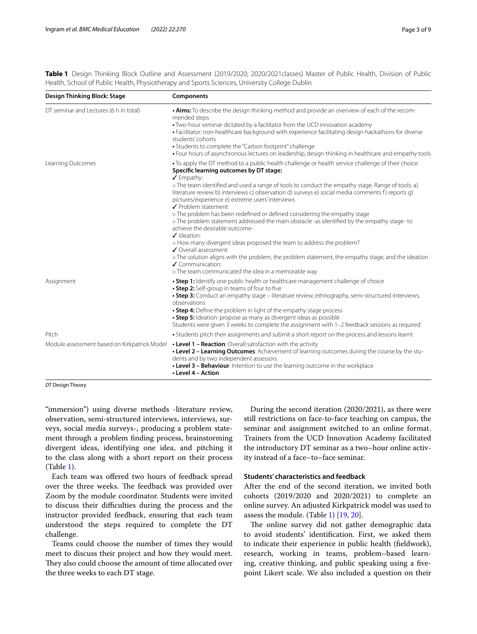<span id="page-2-0"></span>**Table 1** Design Thinking Block Outline and Assessment (2019/2020; 2020/2021classes) Master of Public Health, Division of Public Health, School of Public Health, Physiotherapy and Sports Sciences, University College Dublin

| Design Thinking Block: Stage<br><b>Components</b> |                                                                                                                                                                                                                                                                                                                                                                                                                                                                                                                                                                                                                                                                                                                                                                                                                                                                                                                                                                                     |  |  |  |
|---------------------------------------------------|-------------------------------------------------------------------------------------------------------------------------------------------------------------------------------------------------------------------------------------------------------------------------------------------------------------------------------------------------------------------------------------------------------------------------------------------------------------------------------------------------------------------------------------------------------------------------------------------------------------------------------------------------------------------------------------------------------------------------------------------------------------------------------------------------------------------------------------------------------------------------------------------------------------------------------------------------------------------------------------|--|--|--|
| DT seminar and Lectures (6 h in total)            | • Aims: To describe the design thinking method and provide an overview of each of the recom-<br>mended steps<br>. Two-hour seminar dictated by a facilitator from the UCD innovation academy<br>· Facilitator: non-healthcare background with experience facilitating design hackathons for diverse<br>students' cohorts<br>• Students to complete the "Carbon footprint" challenge<br>. Four hours of asynchronous lectures on leadership, design thinking in healthcare and empathy tools                                                                                                                                                                                                                                                                                                                                                                                                                                                                                         |  |  |  |
| Learning Outcomes                                 | . To apply the DT method to a public health challenge or health service challenge of their choice<br>Specific learning outcomes by DT stage:<br>$\checkmark$ Empathy:<br>o The team identified and used a range of tools to conduct the empathy stage. Range of tools: a)<br>literature review b) interviews c) observation d) surveys e) social media comments f) reports q)<br>pictures/experience e) extreme users' interviews<br>✔ Problem statement:<br>o The problem has been redefined or defined considering the empathy stage<br>o The problem statement addressed the main obstacle -as identified by the empathy stage- to<br>achieve the desirable outcome-<br>$\checkmark$ Ideation:<br>o How many divergent ideas proposed the team to address the problem?<br>✔ Overall assessment:<br>o The solution aligns with the problem, the problem statement, the empathy stage, and the ideation<br>✔ Communication:<br>o The team communicated the idea in a memorable way |  |  |  |
| Assignment                                        | • Step 1: Identify one public health or healthcare management challenge of choice<br>• Step 2: Self-group in teams of four to five<br>• Step 3: Conduct an empathy stage – literature review, ethnography, semi-structured interviews,<br>observations<br>• Step 4: Define the problem in light of the empathy stage process<br>• Step 5: Ideation: propose as many as divergent ideas as possible<br>Students were given 3 weeks to complete the assignment with 1-2 feedback sessions as required                                                                                                                                                                                                                                                                                                                                                                                                                                                                                 |  |  |  |
| Pitch                                             | • Students pitch their assignments and submit a short report on the process and lessons learnt                                                                                                                                                                                                                                                                                                                                                                                                                                                                                                                                                                                                                                                                                                                                                                                                                                                                                      |  |  |  |
| Module assessment based on Kirkpatrick Model      | • Level 1 - Reaction: Overall satisfaction with the activity<br>• Level 2 - Learning Outcomes: Achievement of learning outcomes during the course by the stu-<br>dents and by two independent assessors<br>• Level 3 - Behaviour: Intention to use the learning outcome in the workplace<br>• Level 4 - Action                                                                                                                                                                                                                                                                                                                                                                                                                                                                                                                                                                                                                                                                      |  |  |  |

*DT* Design Theory

"immersion") using diverse methods -literature review, observation, semi-structured interviews, interviews, surveys, social media surveys-, producing a problem statement through a problem fnding process, brainstorming divergent ideas, identifying one idea, and pitching it to the class along with a short report on their process (Table [1](#page-2-0)).

Each team was offered two hours of feedback spread over the three weeks. The feedback was provided over Zoom by the module coordinator. Students were invited to discuss their difculties during the process and the instructor provided feedback, ensuring that each team understood the steps required to complete the DT challenge.

Teams could choose the number of times they would meet to discuss their project and how they would meet. They also could choose the amount of time allocated over the three weeks to each DT stage.

During the second iteration (2020/2021), as there were still restrictions on face-to-face teaching on campus, the seminar and assignment switched to an online format. Trainers from the UCD Innovation Academy facilitated the introductory DT seminar as a two–hour online activity instead of a face–to–face seminar.

## **Students' characteristics and feedback**

After the end of the second iteration, we invited both cohorts (2019/2020 and 2020/2021) to complete an online survey. An adjusted Kirkpatrick model was used to assess the module. (Table [1](#page-2-0)) [[19,](#page-8-15) [20](#page-8-16)].

The online survey did not gather demographic data to avoid students' identifcation. First, we asked them to indicate their experience in public health (feldwork), research, working in teams, problem–based learning, creative thinking, and public speaking using a fvepoint Likert scale. We also included a question on their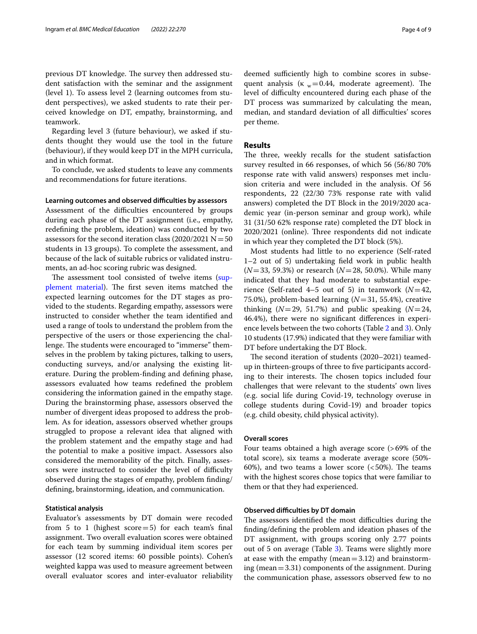previous DT knowledge. The survey then addressed student satisfaction with the seminar and the assignment (level 1). To assess level 2 (learning outcomes from student perspectives), we asked students to rate their perceived knowledge on DT, empathy, brainstorming, and teamwork.

Regarding level 3 (future behaviour), we asked if students thought they would use the tool in the future (behaviour), if they would keep DT in the MPH curricula, and in which format.

To conclude, we asked students to leave any comments and recommendations for future iterations.

#### **Learning outcomes and observed difculties by assessors**

Assessment of the difficulties encountered by groups during each phase of the DT assignment (i.e., empathy, redefning the problem, ideation) was conducted by two assessors for the second iteration class  $(2020/2021 N=50$ students in 13 groups). To complete the assessment, and because of the lack of suitable rubrics or validated instruments, an ad-hoc scoring rubric was designed.

The assessment tool consisted of twelve items ([sup](#page-7-0)[plement material](#page-7-0)). The first seven items matched the expected learning outcomes for the DT stages as provided to the students. Regarding empathy, assessors were instructed to consider whether the team identifed and used a range of tools to understand the problem from the perspective of the users or those experiencing the challenge. The students were encouraged to "immerse" themselves in the problem by taking pictures, talking to users, conducting surveys, and/or analysing the existing literature. During the problem-fnding and defning phase, assessors evaluated how teams redefned the problem considering the information gained in the empathy stage. During the brainstorming phase, assessors observed the number of divergent ideas proposed to address the problem. As for ideation, assessors observed whether groups struggled to propose a relevant idea that aligned with the problem statement and the empathy stage and had the potential to make a positive impact. Assessors also considered the memorability of the pitch. Finally, assessors were instructed to consider the level of difficulty observed during the stages of empathy, problem fnding/ defning, brainstorming, ideation, and communication.

#### **Statistical analysis**

Evaluator's assessments by DT domain were recoded from 5 to 1 (highest score $=$  5) for each team's final assignment. Two overall evaluation scores were obtained for each team by summing individual item scores per assessor (12 scored items: 60 possible points). Cohen's weighted kappa was used to measure agreement between overall evaluator scores and inter-evaluator reliability deemed sufficiently high to combine scores in subsequent analysis ( $\kappa_w = 0.44$ , moderate agreement). The level of difficulty encountered during each phase of the DT process was summarized by calculating the mean, median, and standard deviation of all difficulties' scores per theme.

#### **Results**

The three, weekly recalls for the student satisfaction survey resulted in 66 responses, of which 56 (56/80 70% response rate with valid answers) responses met inclusion criteria and were included in the analysis. Of 56 respondents, 22 (22/30 73% response rate with valid answers) completed the DT Block in the 2019/2020 academic year (in-person seminar and group work), while 31 (31/50 62% response rate) completed the DT block in 2020/2021 (online). Three respondents did not indicate in which year they completed the DT block (5%).

Most students had little to no experience (Self-rated 1–2 out of 5) undertaking feld work in public health (*N*=33, 59.3%) or research (*N*=28, 50.0%). While many indicated that they had moderate to substantial experience (Self-rated 4–5 out of 5) in teamwork  $(N=42,$ 75.0%), problem-based learning (*N*=31, 55.4%), creative thinking  $(N=29, 51.7%)$  and public speaking  $(N=24, 51.7%)$ 46.4%), there were no signifcant diferences in experience levels between the two cohorts (Table [2](#page-4-0) and [3\)](#page-5-0). Only 10 students (17.9%) indicated that they were familiar with DT before undertaking the DT Block.

The second iteration of students (2020–2021) teamedup in thirteen-groups of three to fve participants according to their interests. The chosen topics included four challenges that were relevant to the students' own lives (e.g. social life during Covid-19, technology overuse in college students during Covid-19) and broader topics (e.g. child obesity, child physical activity).

#### **Overall scores**

Four teams obtained a high average score (>69% of the total score), six teams a moderate average score (50%- 60%), and two teams a lower score  $\left( < 50\% \right)$ . The teams with the highest scores chose topics that were familiar to them or that they had experienced.

#### **Observed difficulties by DT domain**

The assessors identified the most difficulties during the fnding/defning the problem and ideation phases of the DT assignment, with groups scoring only 2.77 points out of 5 on average (Table [3](#page-5-0)). Teams were slightly more at ease with the empathy (mean  $=$  3.12) and brainstorming (mean  $=$  3.31) components of the assignment. During the communication phase, assessors observed few to no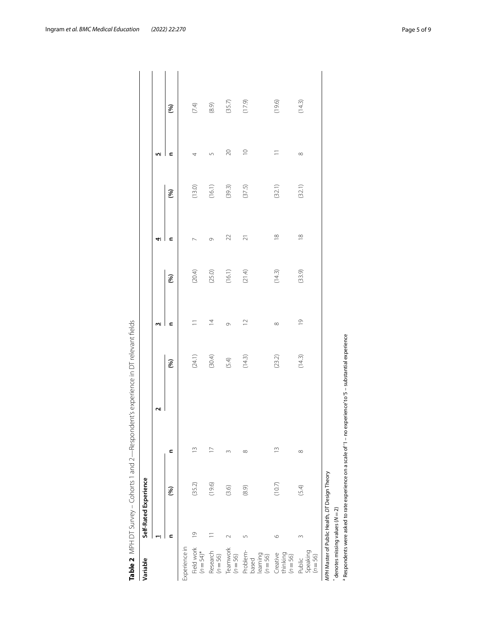| Variable                                    | Self-Rated Experience                         |        |          |              |         |                |        |                   |        |             |         |
|---------------------------------------------|-----------------------------------------------|--------|----------|--------------|---------|----------------|--------|-------------------|--------|-------------|---------|
|                                             | ۰۱<br>۳                                       |        |          | $\mathbf{r}$ |         | ω              |        | 41                |        | <u>In</u>   |         |
|                                             | ⊂                                             | (%)    | c        |              | (96)    | c              | (%)    | c                 | (%)    | c           | (96)    |
| Experience in                               |                                               |        |          |              |         |                |        |                   |        |             |         |
| Field work<br>$(n = 54)$ *                  | $\overline{0}$                                | (35.2) | S        |              | (24.1)  |                | (20.4) | $\sim$            | (13.0) | 4           | $(7.4)$ |
| Research<br>$(n = 56)$                      | $\overline{a}$                                | (19.6) | $\sum$   |              | (30.4)  | $\overline{4}$ | (25.0) | Ò                 | (16.1) | 5           | $(8.9)$ |
| Teamwork<br>$(n = 56)$                      | $\sim$                                        | (3.6)  | m        |              | $(5.4)$ | $\circ$        | (16.1) | $\mathfrak{D}$    | (39.3) | 20          | (35.7)  |
| Problem-<br>learning<br>$(n = 56)$<br>based | 5                                             | (8.9)  | $\infty$ |              | (14.3)  | $\supseteq$    | (21.4) | $\overline{\sim}$ | (37.5) | $\supseteq$ | (17.9)  |
| thinking<br>Creative<br>$(n = 56)$          | $\circ$                                       | (10.7) | ≅        |              | (23.2)  | $\infty$       | (14.3) | $\frac{8}{10}$    | (32.1) |             | (19.6)  |
| Speaking<br>$(n = 56)$<br>Public            | $\infty$                                      | (5.4)  | $\infty$ |              | (14.3)  | $\overline{0}$ | (33.9) | $\frac{8}{10}$    | (32.1) | $\infty$    | (14.3)  |
|                                             | MPH Master of Public Health, DT Design Theory |        |          |              |         |                |        |                   |        |             |         |

<span id="page-4-0"></span>

 $*$  denotes missing values ( $N = 2$ ) \* denotes missing values (*N*=2)

a

Respondents were asked to rate experience on a scale of '1 – no experience' to '5 – substantial experience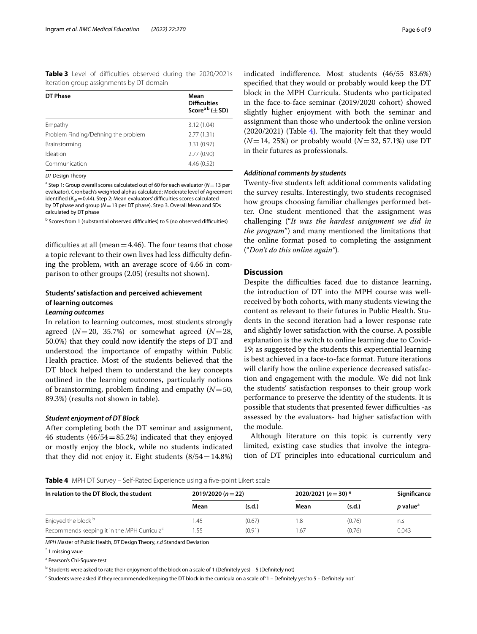<span id="page-5-0"></span>**Table 3** Level of difficulties observed during the 2020/2021s iteration group assignments by DT domain

| DT Phase                             | Mean<br><b>Difficulties</b><br>Score <sup>a b</sup> ( $\pm$ SD) |
|--------------------------------------|-----------------------------------------------------------------|
| Empathy                              | 3.12(1.04)                                                      |
| Problem Finding/Defining the problem | 2.77(1.31)                                                      |
| Brainstorming                        | 3.31(0.97)                                                      |
| Ideation                             | 2.77(0.90)                                                      |
| Communication                        | 4.46(0.52)                                                      |

*DT* Design Theory

a Step 1: Group overall scores calculated out of 60 for each evaluator (*N*=13 per evaluator). Cronbach's weighted alphas calculated; Moderate level of Agreement identified ( $K_W = 0.44$ ). Step 2: Mean evaluators' difficulties scores calculated by DT phase and group (*N*=13 per DT phase). Step 3. Overall Mean and SDs calculated by DT phase

<sup>b</sup> Scores from 1 (substantial observed difficulties) to 5 (no observed difficulties)

difficulties at all (mean  $=4.46$ ). The four teams that chose a topic relevant to their own lives had less difficulty defining the problem, with an average score of 4.66 in comparison to other groups (2.05) (results not shown).

# **Students' satisfaction and perceived achievement of learning outcomes**

## *Learning outcomes*

In relation to learning outcomes, most students strongly agreed (*N*=20, 35.7%) or somewhat agreed (*N*=28, 50.0%) that they could now identify the steps of DT and understood the importance of empathy within Public Health practice. Most of the students believed that the DT block helped them to understand the key concepts outlined in the learning outcomes, particularly notions of brainstorming, problem fnding and empathy (*N*=50, 89.3%) (results not shown in table).

#### *Student enjoyment of DT Block*

After completing both the DT seminar and assignment, 46 students  $(46/54=85.2%)$  indicated that they enjoyed or mostly enjoy the block, while no students indicated that they did not enjoy it. Eight students  $(8/54=14.8%)$ 

indicated indiference. Most students (46/55 83.6%) specifed that they would or probably would keep the DT block in the MPH Curricula. Students who participated in the face-to-face seminar (2019/2020 cohort) showed slightly higher enjoyment with both the seminar and assignment than those who undertook the online version  $(2020/2021)$  (Table [4](#page-5-1)). The majority felt that they would  $(N=14, 25%)$  or probably would  $(N=32, 57.1%)$  use DT in their futures as professionals.

#### *Additional comments by students*

Twenty-fve students left additional comments validating the survey results. Interestingly, two students recognised how groups choosing familiar challenges performed better. One student mentioned that the assignment was challenging ("*It was the hardest assignment we did in the program*") and many mentioned the limitations that the online format posed to completing the assignment ("*Don't do this online again"*)*.*

#### **Discussion**

Despite the difficulties faced due to distance learning, the introduction of DT into the MPH course was wellreceived by both cohorts, with many students viewing the content as relevant to their futures in Public Health. Students in the second iteration had a lower response rate and slightly lower satisfaction with the course. A possible explanation is the switch to online learning due to Covid-19; as suggested by the students this experiential learning is best achieved in a face-to-face format. Future iterations will clarify how the online experience decreased satisfaction and engagement with the module. We did not link the students' satisfaction responses to their group work performance to preserve the identity of the students. It is possible that students that presented fewer difficulties -as assessed by the evaluators- had higher satisfaction with the module.

Although literature on this topic is currently very limited, existing case studies that involve the integration of DT principles into educational curriculum and

<span id="page-5-1"></span>**Table 4** MPH DT Survey – Self-Rated Experience using a five-point Likert scale

| In relation to the DT Block, the student                | 2019/2020 ( $n = 22$ ) |        | 2020/2021 ( $n = 30$ ) * |        | Significance                |
|---------------------------------------------------------|------------------------|--------|--------------------------|--------|-----------------------------|
|                                                         | Mean                   | (s.d.) | Mean                     | (s.d.) | <i>p</i> value <sup>a</sup> |
| Enjoyed the block b                                     | 1.45                   | (0.67) |                          | (0.76) | n.s                         |
| Recommends keeping it in the MPH Curricula <sup>c</sup> | 1.55                   | (0.91) | 1.67                     | (0.76) | 0.043                       |

*MPH* Master of Public Health, *DT* Design Theory, *s.d* Standard Deviation

\* 1 missing vaue

<sup>a</sup> Pearson's Chi-Square test

<sup>b</sup> Students were asked to rate their enjoyment of the block on a scale of 1 (Definitely yes) – 5 (Definitely not)

<sup>c</sup> Students were asked if they recommended keeping the DT block in the curricula on a scale of '1 – Definitely yes' to 5 – Definitely not'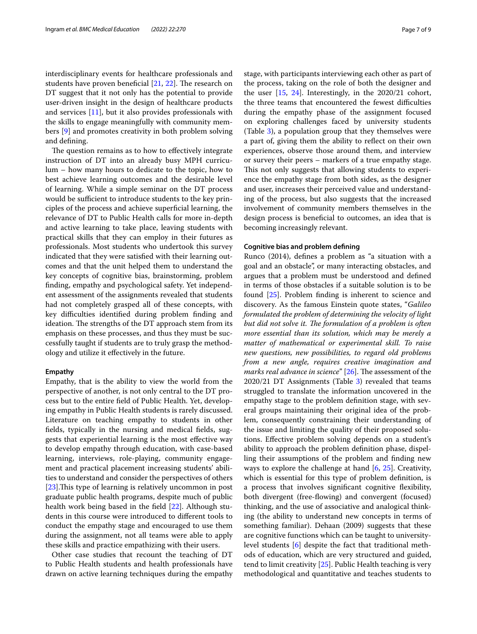interdisciplinary events for healthcare professionals and students have proven beneficial  $[21, 22]$  $[21, 22]$  $[21, 22]$  $[21, 22]$  $[21, 22]$ . The research on DT suggest that it not only has the potential to provide user-driven insight in the design of healthcare products and services [[11\]](#page-8-8), but it also provides professionals with the skills to engage meaningfully with community members [[9\]](#page-8-6) and promotes creativity in both problem solving and defning.

The question remains as to how to effectively integrate instruction of DT into an already busy MPH curriculum – how many hours to dedicate to the topic, how to best achieve learning outcomes and the desirable level of learning. While a simple seminar on the DT process would be sufficient to introduce students to the key principles of the process and achieve superfcial learning, the relevance of DT to Public Health calls for more in-depth and active learning to take place, leaving students with practical skills that they can employ in their futures as professionals. Most students who undertook this survey indicated that they were satisfed with their learning outcomes and that the unit helped them to understand the key concepts of cognitive bias, brainstorming, problem fnding, empathy and psychological safety. Yet independent assessment of the assignments revealed that students had not completely grasped all of these concepts, with key difficulties identified during problem finding and ideation. The strengths of the DT approach stem from its emphasis on these processes, and thus they must be successfully taught if students are to truly grasp the methodology and utilize it efectively in the future.

#### **Empathy**

Empathy, that is the ability to view the world from the perspective of another, is not only central to the DT process but to the entire feld of Public Health. Yet, developing empathy in Public Health students is rarely discussed. Literature on teaching empathy to students in other felds, typically in the nursing and medical felds, suggests that experiential learning is the most efective way to develop empathy through education, with case-based learning, interviews, role-playing, community engagement and practical placement increasing students' abilities to understand and consider the perspectives of others  $[23]$  $[23]$ . This type of learning is relatively uncommon in post graduate public health programs, despite much of public health work being based in the feld [\[22\]](#page-8-18). Although students in this course were introduced to diferent tools to conduct the empathy stage and encouraged to use them during the assignment, not all teams were able to apply these skills and practice empathizing with their users.

Other case studies that recount the teaching of DT to Public Health students and health professionals have drawn on active learning techniques during the empathy stage, with participants interviewing each other as part of the process, taking on the role of both the designer and the user [\[15](#page-8-11), [24\]](#page-8-20). Interestingly, in the 2020/21 cohort, the three teams that encountered the fewest difficulties during the empathy phase of the assignment focused on exploring challenges faced by university students (Table [3](#page-5-0)), a population group that they themselves were a part of, giving them the ability to refect on their own experiences, observe those around them, and interview or survey their peers – markers of a true empathy stage. This not only suggests that allowing students to experience the empathy stage from both sides, as the designer and user, increases their perceived value and understanding of the process, but also suggests that the increased involvement of community members themselves in the design process is beneficial to outcomes, an idea that is becoming increasingly relevant.

#### **Cognitive bias and problem defning**

Runco (2014), defnes a problem as "a situation with a goal and an obstacle", or many interacting obstacles, and argues that a problem must be understood and defned in terms of those obstacles if a suitable solution is to be found [\[25\]](#page-8-21). Problem fnding is inherent to science and discovery. As the famous Einstein quote states, "*Galileo formulated the problem of determining the velocity of light but did not solve it. The formulation of a problem is often more essential than its solution, which may be merely a matter of mathematical or experimental skill. To raise new questions, new possibilities, to regard old problems from a new angle, requires creative imagination and marks real advance in science*" [[26\]](#page-8-22). The assessment of the 2020/21 DT Assignments (Table [3\)](#page-5-0) revealed that teams struggled to translate the information uncovered in the empathy stage to the problem defnition stage, with several groups maintaining their original idea of the problem, consequently constraining their understanding of the issue and limiting the quality of their proposed solutions. Efective problem solving depends on a student's ability to approach the problem defnition phase, dispelling their assumptions of the problem and fnding new ways to explore the challenge at hand [[6,](#page-8-4) [25](#page-8-21)]. Creativity, which is essential for this type of problem defnition, is a process that involves signifcant cognitive fexibility, both divergent (free-fowing) and convergent (focused) thinking, and the use of associative and analogical thinking (the ability to understand new concepts in terms of something familiar). Dehaan (2009) suggests that these are cognitive functions which can be taught to universitylevel students [\[6](#page-8-4)] despite the fact that traditional methods of education, which are very structured and guided, tend to limit creativity [\[25](#page-8-21)]. Public Health teaching is very methodological and quantitative and teaches students to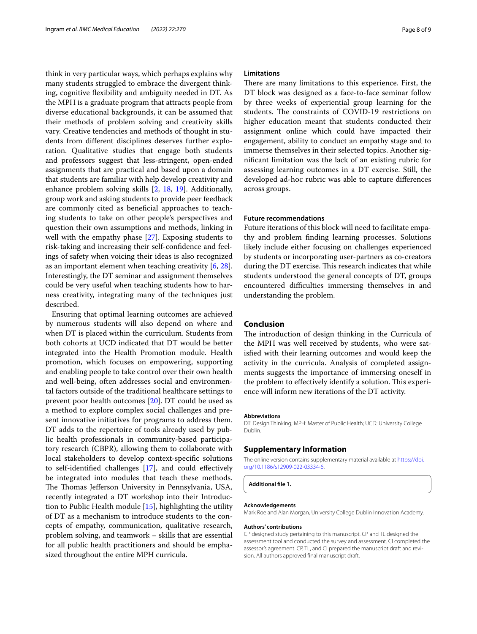think in very particular ways, which perhaps explains why many students struggled to embrace the divergent thinking, cognitive fexibility and ambiguity needed in DT. As the MPH is a graduate program that attracts people from diverse educational backgrounds, it can be assumed that their methods of problem solving and creativity skills vary. Creative tendencies and methods of thought in students from diferent disciplines deserves further exploration. Qualitative studies that engage both students and professors suggest that less-stringent, open-ended assignments that are practical and based upon a domain that students are familiar with help develop creativity and enhance problem solving skills [[2,](#page-8-23) [18](#page-8-14), [19](#page-8-15)]. Additionally, group work and asking students to provide peer feedback are commonly cited as benefcial approaches to teaching students to take on other people's perspectives and question their own assumptions and methods, linking in well with the empathy phase [\[27](#page-8-24)]. Exposing students to risk-taking and increasing their self-confdence and feelings of safety when voicing their ideas is also recognized as an important element when teaching creativity [[6](#page-8-4), [28](#page-8-25)]. Interestingly, the DT seminar and assignment themselves could be very useful when teaching students how to harness creativity, integrating many of the techniques just described.

Ensuring that optimal learning outcomes are achieved by numerous students will also depend on where and when DT is placed within the curriculum. Students from both cohorts at UCD indicated that DT would be better integrated into the Health Promotion module. Health promotion, which focuses on empowering, supporting and enabling people to take control over their own health and well-being, often addresses social and environmental factors outside of the traditional healthcare settings to prevent poor health outcomes [\[20](#page-8-16)]. DT could be used as a method to explore complex social challenges and present innovative initiatives for programs to address them. DT adds to the repertoire of tools already used by public health professionals in community-based participatory research (CBPR), allowing them to collaborate with local stakeholders to develop context-specifc solutions to self-identifed challenges [[17](#page-8-13)], and could efectively be integrated into modules that teach these methods. The Thomas Jefferson University in Pennsylvania, USA, recently integrated a DT workshop into their Introduction to Public Health module [\[15](#page-8-11)], highlighting the utility of DT as a mechanism to introduce students to the concepts of empathy, communication, qualitative research, problem solving, and teamwork – skills that are essential for all public health practitioners and should be emphasized throughout the entire MPH curricula.

#### **Limitations**

There are many limitations to this experience. First, the DT block was designed as a face-to-face seminar follow by three weeks of experiential group learning for the students. The constraints of COVID-19 restrictions on higher education meant that students conducted their assignment online which could have impacted their engagement, ability to conduct an empathy stage and to immerse themselves in their selected topics. Another signifcant limitation was the lack of an existing rubric for assessing learning outcomes in a DT exercise. Still, the developed ad-hoc rubric was able to capture diferences across groups.

#### **Future recommendations**

Future iterations of this block will need to facilitate empathy and problem fnding learning processes. Solutions likely include either focusing on challenges experienced by students or incorporating user-partners as co-creators during the DT exercise. This research indicates that while students understood the general concepts of DT, groups encountered difficulties immersing themselves in and understanding the problem.

#### **Conclusion**

The introduction of design thinking in the Curricula of the MPH was well received by students, who were satisfed with their learning outcomes and would keep the activity in the curricula. Analysis of completed assignments suggests the importance of immersing oneself in the problem to effectively identify a solution. This experience will inform new iterations of the DT activity.

#### **Abbreviations**

DT: Design Thinking; MPH: Master of Public Health; UCD: University College Dublin.

#### **Supplementary Information**

The online version contains supplementary material available at [https://doi.](https://doi.org/10.1186/s12909-022-03334-6) [org/10.1186/s12909-022-03334-6](https://doi.org/10.1186/s12909-022-03334-6).

<span id="page-7-0"></span>**Additional fle 1.** 

#### **Acknowledgements**

Mark Roe and Alan Morgan, University College Dublin Innovation Academy.

#### **Authors' contributions**

CP designed study pertaining to this manuscript. CP and TL designed the assessment tool and conducted the survey and assessment. CI completed the assessor's agreement. CP, TL, and CI prepared the manuscript draft and revision. All authors approved fnal manuscript draft.